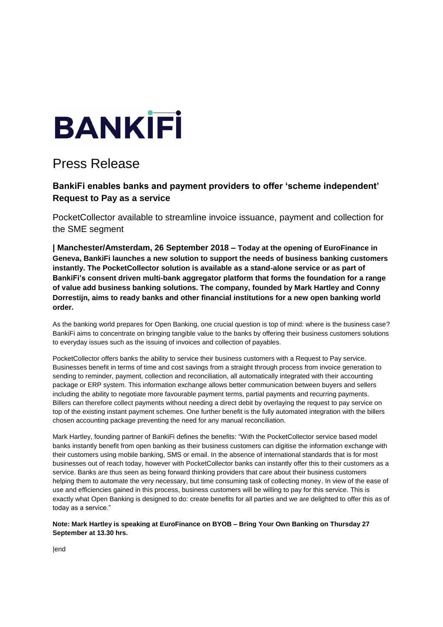

## Press Release

## **BankiFi enables banks and payment providers to offer 'scheme independent' Request to Pay as a service**

PocketCollector available to streamline invoice issuance, payment and collection for the SME segment

**| Manchester/Amsterdam, 26 September 2018 – Today at the opening of EuroFinance in Geneva, BankiFi launches a new solution to support the needs of business banking customers instantly. The PocketCollector solution is available as a stand-alone service or as part of BankiFi's consent driven multi-bank aggregator platform that forms the foundation for a range of value add business banking solutions. The company, founded by Mark Hartley and Conny Dorrestijn, aims to ready banks and other financial institutions for a new open banking world order.**

As the banking world prepares for Open Banking, one crucial question is top of mind: where is the business case? BankiFi aims to concentrate on bringing tangible value to the banks by offering their business customers solutions to everyday issues such as the issuing of invoices and collection of payables.

PocketCollector offers banks the ability to service their business customers with a Request to Pay service. Businesses benefit in terms of time and cost savings from a straight through process from invoice generation to sending to reminder, payment, collection and reconciliation, all automatically integrated with their accounting package or ERP system. This information exchange allows better communication between buyers and sellers including the ability to negotiate more favourable payment terms, partial payments and recurring payments. Billers can therefore collect payments without needing a direct debit by overlaying the request to pay service on top of the existing instant payment schemes. One further benefit is the fully automated integration with the billers chosen accounting package preventing the need for any manual reconciliation.

Mark Hartley, founding partner of BankiFi defines the benefits: "With the PocketCollector service based model banks instantly benefit from open banking as their business customers can digitise the information exchange with their customers using mobile banking, SMS or email. In the absence of international standards that is for most businesses out of reach today, however with PocketCollector banks can instantly offer this to their customers as a service. Banks are thus seen as being forward thinking providers that care about their business customers helping them to automate the very necessary, but time consuming task of collecting money. In view of the ease of use and efficiencies gained in this process, business customers will be willing to pay for this service. This is exactly what Open Banking is designed to do: create benefits for all parties and we are delighted to offer this as of today as a service."

**Note: Mark Hartley is speaking at EuroFinance on BYOB – Bring Your Own Banking on Thursday 27 September at 13.30 hrs.**

|end